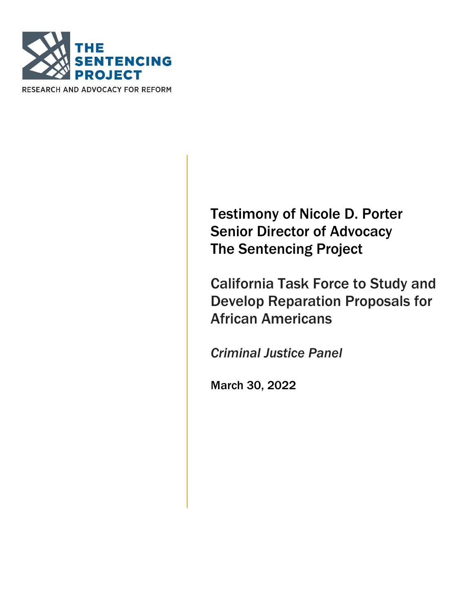

RESEARCH AND ADVOCACY FOR REFORM

Testimony of Nicole D. Porter Senior Director of Advocacy The Sentencing Project

California Task Force to Study and Develop Reparation Proposals for African Americans

Criminal Justice Panel

March 30, 2022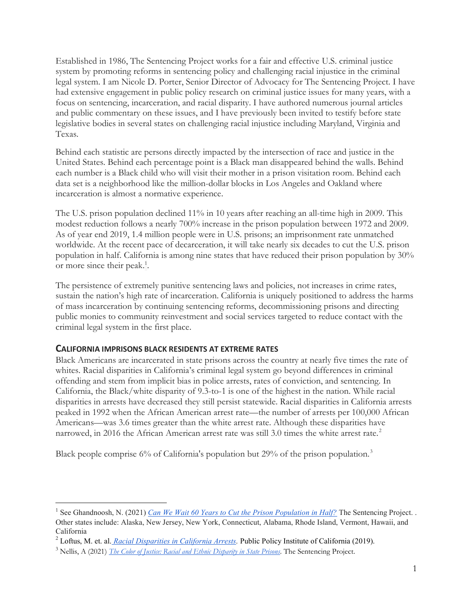Established in 1986, The Sentencing Project works for a fair and effective U.S. criminal justice system by promoting reforms in sentencing policy and challenging racial injustice in the criminal legal system. I am Nicole D. Porter, Senior Director of Advocacy for The Sentencing Project. I have had extensive engagement in public policy research on criminal justice issues for many years, with a focus on sentencing, incarceration, and racial disparity. I have authored numerous journal articles and public commentary on these issues, and I have previously been invited to testify before state legislative bodies in several states on challenging racial injustice including Maryland, Virginia and Texas.

Behind each statistic are persons directly impacted by the intersection of race and justice in the United States. Behind each percentage point is a Black man disappeared behind the walls. Behind each number is a Black child who will visit their mother in a prison visitation room. Behind each data set is a neighborhood like the million-dollar blocks in Los Angeles and Oakland where incarceration is almost a normative experience.

The U.S. prison population declined 11% in 10 years after reaching an all-time high in 2009. This modest reduction follows a nearly 700% increase in the prison population between 1972 and 2009. As of year end 2019, 1.4 million people were in U.S. prisons; an imprisonment rate unmatched worldwide. At the recent pace of decarceration, it will take nearly six decades to cut the U.S. prison population in half. California is among nine states that have reduced their prison population by 30% or more since their peak.<sup>1</sup>.

The persistence of extremely punitive sentencing laws and policies, not increases in crime rates, sustain the nation's high rate of incarceration. California is uniquely positioned to address the harms of mass incarceration by continuing sentencing reforms, decommissioning prisons and directing public monies to community reinvestment and social services targeted to reduce contact with the criminal legal system in the first place.

#### CALIFORNIA IMPRISONS BLACK RESIDENTS AT EXTREME RATES

 $\overline{a}$ 

Black Americans are incarcerated in state prisons across the country at nearly five times the rate of whites. Racial disparities in California's criminal legal system go beyond differences in criminal offending and stem from implicit bias in police arrests, rates of conviction, and sentencing. In California, the Black/white disparity of 9.3-to-1 is one of the highest in the nation. While racial disparities in arrests have decreased they still persist statewide. Racial disparities in California arrests peaked in 1992 when the African American arrest rate—the number of arrests per 100,000 African Americans—was 3.6 times greater than the white arrest rate. Although these disparities have narrowed, in 2016 the African American arrest rate was still 3.0 times the white arrest rate.<sup>2</sup>

Black people comprise 6% of California's population but 29% of the prison population.<sup>3</sup>

<sup>&</sup>lt;sup>1</sup> See Ghandnoosh, N. (2021) Can We Wait 60 Years to Cut the Prison Population in Half? The Sentencing Project. . Other states include: Alaska, New Jersey, New York, Connecticut, Alabama, Rhode Island, Vermont, Hawaii, and California

<sup>&</sup>lt;sup>2</sup> Loftus, M. et. al. *Racial Disparities in California Arrests*. Public Policy Institute of California (2019).

<sup>&</sup>lt;sup>3</sup> Nellis, A (2021) *The Color of Justice: Racial and Ethnic Disparity in State Prisons*. The Sentencing Project.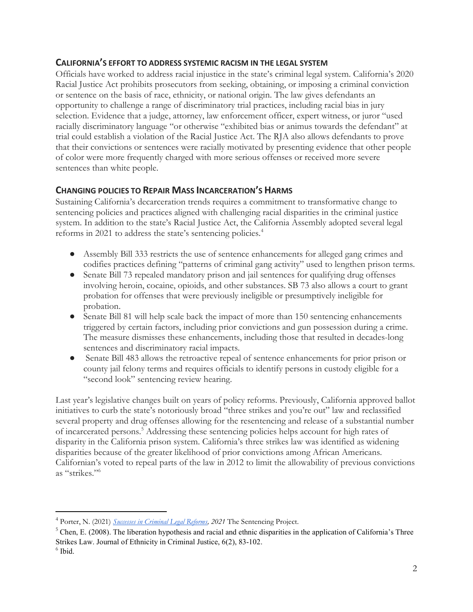## CALIFORNIA'S EFFORT TO ADDRESS SYSTEMIC RACISM IN THE LEGAL SYSTEM

Officials have worked to address racial injustice in the state's criminal legal system. California's 2020 Racial Justice Act prohibits prosecutors from seeking, obtaining, or imposing a criminal conviction or sentence on the basis of race, ethnicity, or national origin. The law gives defendants an opportunity to challenge a range of discriminatory trial practices, including racial bias in jury selection. Evidence that a judge, attorney, law enforcement officer, expert witness, or juror "used racially discriminatory language "or otherwise "exhibited bias or animus towards the defendant" at trial could establish a violation of the Racial Justice Act. The RJA also allows defendants to prove that their convictions or sentences were racially motivated by presenting evidence that other people of color were more frequently charged with more serious offenses or received more severe sentences than white people.

### CHANGING POLICIES TO REPAIR MASS INCARCERATION'S HARMS

Sustaining California's decarceration trends requires a commitment to transformative change to sentencing policies and practices aligned with challenging racial disparities in the criminal justice system. In addition to the state's Racial Justice Act, the California Assembly adopted several legal reforms in 2021 to address the state's sentencing policies.<sup>4</sup>

- Assembly Bill 333 restricts the use of sentence enhancements for alleged gang crimes and codifies practices defining "patterns of criminal gang activity" used to lengthen prison terms.
- Senate Bill 73 repealed mandatory prison and jail sentences for qualifying drug offenses involving heroin, cocaine, opioids, and other substances. SB 73 also allows a court to grant probation for offenses that were previously ineligible or presumptively ineligible for probation.
- Senate Bill 81 will help scale back the impact of more than 150 sentencing enhancements triggered by certain factors, including prior convictions and gun possession during a crime. The measure dismisses these enhancements, including those that resulted in decades-long sentences and discriminatory racial impacts.
- Senate Bill 483 allows the retroactive repeal of sentence enhancements for prior prison or county jail felony terms and requires officials to identify persons in custody eligible for a "second look" sentencing review hearing.

Last year's legislative changes built on years of policy reforms. Previously, California approved ballot initiatives to curb the state's notoriously broad "three strikes and you're out" law and reclassified several property and drug offenses allowing for the resentencing and release of a substantial number of incarcerated persons.<sup>5</sup> Addressing these sentencing policies helps account for high rates of disparity in the California prison system. California's three strikes law was identified as widening disparities because of the greater likelihood of prior convictions among African Americans. Californian's voted to repeal parts of the law in 2012 to limit the allowability of previous convictions as "strikes."<sup>6</sup>

 $\overline{a}$ 

<sup>&</sup>lt;sup>4</sup> Porter, N. (2021) *Successes in Criminal Legal Reforms*, 2021 The Sentencing Project.

 $5$  Chen, E. (2008). The liberation hypothesis and racial and ethnic disparities in the application of California's Three Strikes Law. Journal of Ethnicity in Criminal Justice, 6(2), 83-102.

 $<sup>6</sup>$  Ibid.</sup>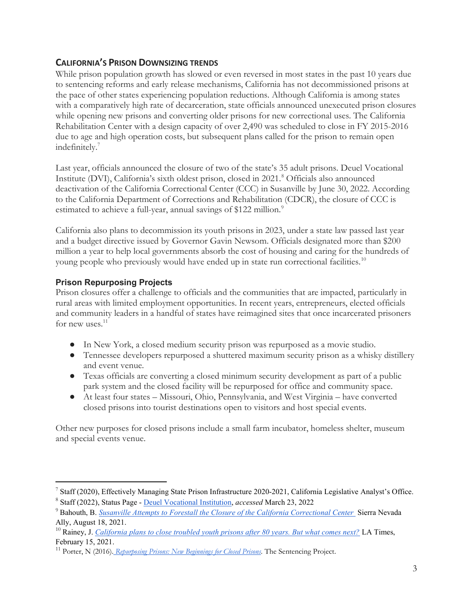# CALIFORNIA'S PRISON DOWNSIZING TRENDS

While prison population growth has slowed or even reversed in most states in the past 10 years due to sentencing reforms and early release mechanisms, California has not decommissioned prisons at the pace of other states experiencing population reductions. Although California is among states with a comparatively high rate of decarceration, state officials announced unexecuted prison closures while opening new prisons and converting older prisons for new correctional uses. The California Rehabilitation Center with a design capacity of over 2,490 was scheduled to close in FY 2015-2016 due to age and high operation costs, but subsequent plans called for the prison to remain open indefinitely.<sup>7</sup>

Last year, officials announced the closure of two of the state's 35 adult prisons. Deuel Vocational Institute (DVI), California's sixth oldest prison, closed in 2021.<sup>8</sup> Officials also announced deactivation of the California Correctional Center (CCC) in Susanville by June 30, 2022. According to the California Department of Corrections and Rehabilitation (CDCR), the closure of CCC is estimated to achieve a full-year, annual savings of \$122 million.<sup>9</sup>

California also plans to decommission its youth prisons in 2023, under a state law passed last year and a budget directive issued by Governor Gavin Newsom. Officials designated more than \$200 million a year to help local governments absorb the cost of housing and caring for the hundreds of young people who previously would have ended up in state run correctional facilities.<sup>10</sup>

## Prison Repurposing Projects

 $\overline{a}$ 

Prison closures offer a challenge to officials and the communities that are impacted, particularly in rural areas with limited employment opportunities. In recent years, entrepreneurs, elected officials and community leaders in a handful of states have reimagined sites that once incarcerated prisoners for new uses. $11$ 

- In New York, a closed medium security prison was repurposed as a movie studio.
- Tennessee developers repurposed a shuttered maximum security prison as a whisky distillery and event venue.
- Texas officials are converting a closed minimum security development as part of a public park system and the closed facility will be repurposed for office and community space.
- At least four states Missouri, Ohio, Pennsylvania, and West Virginia have converted closed prisons into tourist destinations open to visitors and host special events.

Other new purposes for closed prisons include a small farm incubator, homeless shelter, museum and special events venue.

 $^7$  Staff (2020), Effectively Managing State Prison Infrastructure 2020-2021, California Legislative Analyst's Office. <sup>8</sup> Staff (2022), Status Page - Deuel Vocational Institution, accessed March 23, 2022

<sup>&</sup>lt;sup>9</sup> Bahouth, B. Susanville Attempts to Forestall the Closure of the California Correctional Center Sierra Nevada Ally, August 18, 2021.

<sup>&</sup>lt;sup>10</sup> Rainey, J. California plans to close troubled youth prisons after 80 years. But what comes next? LA Times, February 15, 2021.

 $11$  Porter, N (2016). Repurposing Prisons: New Beginnings for Closed Prisons. The Sentencing Project.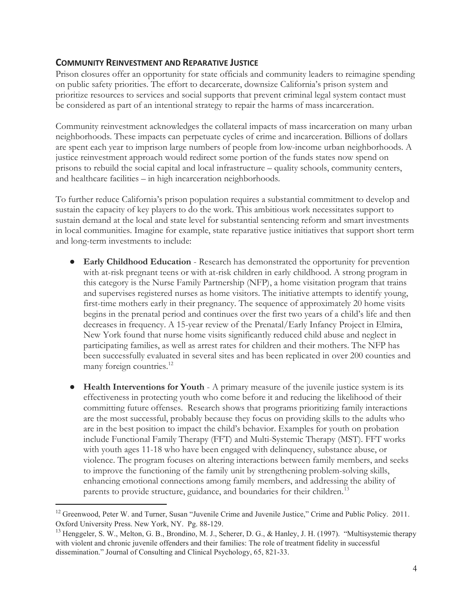### COMMUNITY REINVESTMENT AND REPARATIVE JUSTICE

Prison closures offer an opportunity for state officials and community leaders to reimagine spending on public safety priorities. The effort to decarcerate, downsize California's prison system and prioritize resources to services and social supports that prevent criminal legal system contact must be considered as part of an intentional strategy to repair the harms of mass incarceration.

Community reinvestment acknowledges the collateral impacts of mass incarceration on many urban neighborhoods. These impacts can perpetuate cycles of crime and incarceration. Billions of dollars are spent each year to imprison large numbers of people from low-income urban neighborhoods. A justice reinvestment approach would redirect some portion of the funds states now spend on prisons to rebuild the social capital and local infrastructure – quality schools, community centers, and healthcare facilities – in high incarceration neighborhoods.

To further reduce California's prison population requires a substantial commitment to develop and sustain the capacity of key players to do the work. This ambitious work necessitates support to sustain demand at the local and state level for substantial sentencing reform and smart investments in local communities. Imagine for example, state reparative justice initiatives that support short term and long-term investments to include:

- Early Childhood Education Research has demonstrated the opportunity for prevention with at-risk pregnant teens or with at-risk children in early childhood. A strong program in this category is the Nurse Family Partnership (NFP), a home visitation program that trains and supervises registered nurses as home visitors. The initiative attempts to identify young, first-time mothers early in their pregnancy. The sequence of approximately 20 home visits begins in the prenatal period and continues over the first two years of a child's life and then decreases in frequency. A 15-year review of the Prenatal/Early Infancy Project in Elmira, New York found that nurse home visits significantly reduced child abuse and neglect in participating families, as well as arrest rates for children and their mothers. The NFP has been successfully evaluated in several sites and has been replicated in over 200 counties and many foreign countries.<sup>12</sup>
- Health Interventions for Youth A primary measure of the juvenile justice system is its effectiveness in protecting youth who come before it and reducing the likelihood of their committing future offenses. Research shows that programs prioritizing family interactions are the most successful, probably because they focus on providing skills to the adults who are in the best position to impact the child's behavior. Examples for youth on probation include Functional Family Therapy (FFT) and Multi-Systemic Therapy (MST). FFT works with youth ages 11-18 who have been engaged with delinquency, substance abuse, or violence. The program focuses on altering interactions between family members, and seeks to improve the functioning of the family unit by strengthening problem-solving skills, enhancing emotional connections among family members, and addressing the ability of parents to provide structure, guidance, and boundaries for their children.<sup>13</sup>

 $\overline{a}$ 

<sup>&</sup>lt;sup>12</sup> Greenwood, Peter W. and Turner, Susan "Juvenile Crime and Juvenile Justice," Crime and Public Policy. 2011. Oxford University Press. New York, NY. Pg. 88-129.

<sup>&</sup>lt;sup>13</sup> Henggeler, S. W., Melton, G. B., Brondino, M. J., Scherer, D. G., & Hanley, J. H. (1997). "Multisystemic therapy with violent and chronic juvenile offenders and their families: The role of treatment fidelity in successful dissemination." Journal of Consulting and Clinical Psychology, 65, 821-33.